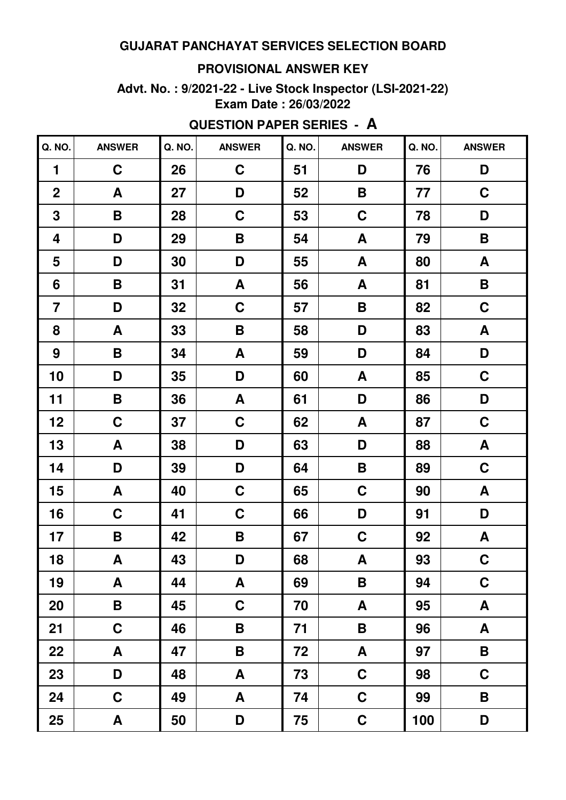#### **PROVISIONAL ANSWER KEY**

#### **Advt. No. : 9/2021-22 - Live Stock Inspector (LSI-2021-22) Exam Date : 26/03/2022**

# **QUESTION PAPER SERIES - A**

| Q. NO.                  | <b>ANSWER</b>      | Q. NO. | <b>ANSWER</b> | Q. NO. | <b>ANSWER</b>    | Q. NO. | <b>ANSWER</b>      |
|-------------------------|--------------------|--------|---------------|--------|------------------|--------|--------------------|
| $\blacksquare$          | $\mathbf C$        | 26     | $\mathbf C$   | 51     | D                | 76     | D                  |
| $\overline{2}$          | $\pmb{\mathsf{A}}$ | 27     | D             | 52     | B                | 77     | $\mathbf C$        |
| 3                       | B                  | 28     | $\mathbf C$   | 53     | $\mathbf C$      | 78     | D                  |
| 4                       | D                  | 29     | B             | 54     | A                | 79     | B                  |
| 5                       | D                  | 30     | D             | 55     | A                | 80     | A                  |
| 6                       | B                  | 31     | A             | 56     | A                | 81     | $\pmb{\mathsf{B}}$ |
| $\overline{\mathbf{7}}$ | D                  | 32     | $\mathbf C$   | 57     | B                | 82     | $\mathbf C$        |
| 8                       | A                  | 33     | B             | 58     | D                | 83     | A                  |
| 9                       | B                  | 34     | A             | 59     | D                | 84     | D                  |
| 10                      | D                  | 35     | D             | 60     | A                | 85     | $\mathbf C$        |
| 11                      | B                  | 36     | A             | 61     | D                | 86     | D                  |
| 12                      | C                  | 37     | $\mathbf C$   | 62     | A                | 87     | $\mathbf C$        |
| 13                      | A                  | 38     | D             | 63     | D                | 88     | A                  |
| 14                      | D                  | 39     | D             | 64     | B                | 89     | $\mathbf C$        |
| 15                      | A                  | 40     | $\mathbf C$   | 65     | $\mathbf C$      | 90     | A                  |
| 16                      | C                  | 41     | $\mathbf C$   | 66     | D                | 91     | D                  |
| 17                      | B                  | 42     | B             | 67     | $\mathbf C$      | 92     | A                  |
| 18                      | A                  | 43     | D             | 68     | A                | 93     | $\mathbf C$        |
| 19                      | A                  | 44     | A             | 69     | $\mathsf B$      | 94     | $\mathbf C$        |
| 20                      | B                  | 45     | $\mathbf C$   | 70     | A                | 95     | A                  |
| 21                      | $\mathbf C$        | 46     | B             | 71     | B                | 96     | A                  |
| 22                      | A                  | 47     | $\mathbf B$   | 72     | $\blacktriangle$ | 97     | $\mathsf B$        |
| 23                      | D                  | 48     | $\mathbf{A}$  | 73     | $\mathbf C$      | 98     | $\mathbf C$        |
| 24                      | C                  | 49     | A             | 74     | $\mathbf C$      | 99     | $\pmb{\mathsf{B}}$ |
| 25                      | A                  | 50     | D             | 75     | $\mathbf C$      | 100    | D                  |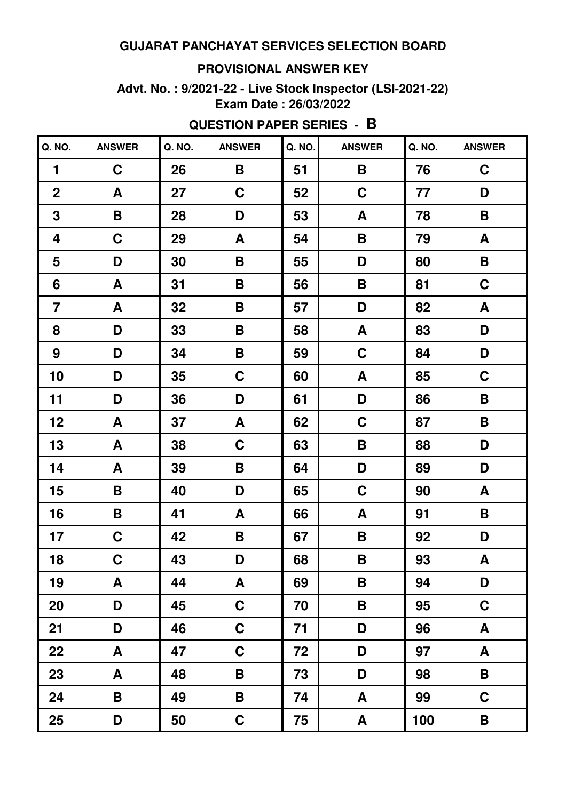# **PROVISIONAL ANSWER KEY**

#### **Advt. No. : 9/2021-22 - Live Stock Inspector (LSI-2021-22) Exam Date : 26/03/2022**

| Q. NO.           | <b>ANSWER</b> | Q. NO. | <b>ANSWER</b>      | Q. NO. | <b>ANSWER</b>      | Q. NO. | <b>ANSWER</b>      |
|------------------|---------------|--------|--------------------|--------|--------------------|--------|--------------------|
| 1                | $\mathbf C$   | 26     | B                  | 51     | B                  | 76     | $\mathbf C$        |
| $\boldsymbol{2}$ | A             | 27     | $\mathbf C$        | 52     | $\mathbf C$        | 77     | D                  |
| 3                | B             | 28     | D                  | 53     | A                  | 78     | B                  |
| 4                | $\mathbf C$   | 29     | A                  | 54     | B                  | 79     | A                  |
| 5                | D             | 30     | B                  | 55     | D                  | 80     | B                  |
| 6                | A             | 31     | $\pmb{\mathsf{B}}$ | 56     | B                  | 81     | $\mathbf C$        |
| $\overline{7}$   | A             | 32     | B                  | 57     | D                  | 82     | A                  |
| 8                | D             | 33     | B                  | 58     | $\mathbf{A}$       | 83     | D                  |
| 9                | D             | 34     | B                  | 59     | $\mathbf C$        | 84     | D                  |
| 10               | D             | 35     | $\mathbf C$        | 60     | $\mathbf{A}$       | 85     | $\mathbf C$        |
| 11               | D             | 36     | D                  | 61     | D                  | 86     | B                  |
| 12               | A             | 37     | A                  | 62     | $\mathbf C$        | 87     | B                  |
| 13               | A             | 38     | $\mathbf C$        | 63     | $\mathsf B$        | 88     | D                  |
| 14               | A             | 39     | B                  | 64     | D                  | 89     | D                  |
| 15               | B             | 40     | D                  | 65     | $\mathbf C$        | 90     | A                  |
| 16               | B             | 41     | A                  | 66     | A                  | 91     | B                  |
| 17               | $\mathbf C$   | 42     | B                  | 67     | B                  | 92     | D                  |
| 18               | $\mathbf C$   | 43     | D                  | 68     | $\pmb{\mathsf{B}}$ | 93     | $\pmb{\mathsf{A}}$ |
| 19               | A             | 44     | A                  | 69     | B                  | 94     | D                  |
| 20               | D             | 45     | $\mathbf C$        | 70     | B                  | 95     | $\mathbf C$        |
| 21               | D             | 46     | $\mathbf C$        | 71     | D                  | 96     | A                  |
| 22               | A             | 47     | $\mathbf C$        | 72     | D                  | 97     | A                  |
| 23               | A             | 48     | B                  | 73     | D                  | 98     | $\mathbf B$        |
| 24               | B             | 49     | B                  | 74     | A                  | 99     | $\mathbf C$        |
| 25               | D             | 50     | $\mathbf C$        | 75     | A                  | 100    | B                  |

# **QUESTION PAPER SERIES - B**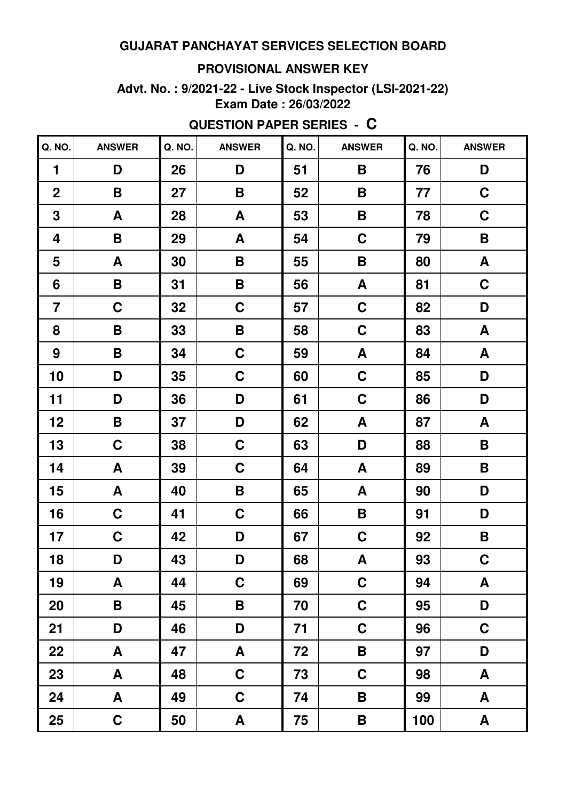# **PROVISIONAL ANSWER KEY**

#### **Advt. No. : 9/2021-22 - Live Stock Inspector (LSI-2021-22) Exam Date : 26/03/2022**

| Q. NO.                  | <b>ANSWER</b>      | Q. NO. | <b>ANSWER</b>      | Q. NO. | <b>ANSWER</b>             | Q. NO. | <b>ANSWER</b> |
|-------------------------|--------------------|--------|--------------------|--------|---------------------------|--------|---------------|
| $\blacksquare$          | D                  | 26     | D                  | 51     | B                         | 76     | D             |
| $\mathbf 2$             | $\pmb{\mathsf{B}}$ | 27     | $\pmb{\mathsf{B}}$ | 52     | B                         | 77     | $\mathbf C$   |
| $\mathbf 3$             | A                  | 28     | A                  | 53     | B                         | 78     | $\mathbf C$   |
| 4                       | B                  | 29     | A                  | 54     | $\mathbf C$               | 79     | B             |
| 5                       | A                  | 30     | $\pmb{\mathsf{B}}$ | 55     | B                         | 80     | A             |
| 6                       | B                  | 31     | $\pmb{\mathsf{B}}$ | 56     | A                         | 81     | $\mathbf C$   |
| $\overline{\mathbf{7}}$ | $\mathbf C$        | 32     | $\mathbf C$        | 57     | $\mathbf C$               | 82     | D             |
| 8                       | B                  | 33     | $\pmb{\mathsf{B}}$ | 58     | $\mathbf C$               | 83     | A             |
| 9                       | B                  | 34     | $\mathbf C$        | 59     | A                         | 84     | A             |
| 10                      | D                  | 35     | $\mathbf C$        | 60     | $\mathbf C$               | 85     | D             |
| 11                      | D                  | 36     | D                  | 61     | $\mathbf C$               | 86     | D             |
| 12                      | B                  | 37     | D                  | 62     | A                         | 87     | A             |
| 13                      | $\mathbf C$        | 38     | $\mathbf C$        | 63     | D                         | 88     | B             |
| 14                      | A                  | 39     | $\mathbf C$        | 64     | A                         | 89     | B             |
| 15                      | A                  | 40     | B                  | 65     | A                         | 90     | D             |
| 16                      | $\mathbf C$        | 41     | $\mathbf C$        | 66     | B                         | 91     | D             |
| 17                      | $\mathbf C$        | 42     | D                  | 67     | $\mathbf C$               | 92     | B             |
| 18                      | D                  | 43     | D                  | 68     | $\boldsymbol{\mathsf{A}}$ | 93     | $\mathbf C$   |
| 19                      | A                  | 44     | $\mathbf C$        | 69     | $\mathbf C$               | 94     | A             |
| 20                      | B                  | 45     | B                  | 70     | $\mathbf C$               | 95     | D             |
| 21                      | D                  | 46     | D                  | 71     | $\mathbf C$               | 96     | $\mathbf C$   |
| 22                      | A                  | 47     | A                  | 72     | B                         | 97     | D             |
| 23                      | A                  | 48     | $\mathbf C$        | 73     | $\mathbf C$               | 98     | A             |
| 24                      | A                  | 49     | $\mathbf C$        | 74     | B                         | 99     | A             |
| 25                      | $\mathbf C$        | 50     | A                  | 75     | B                         | 100    | A             |

# **QUESTION PAPER SERIES - C**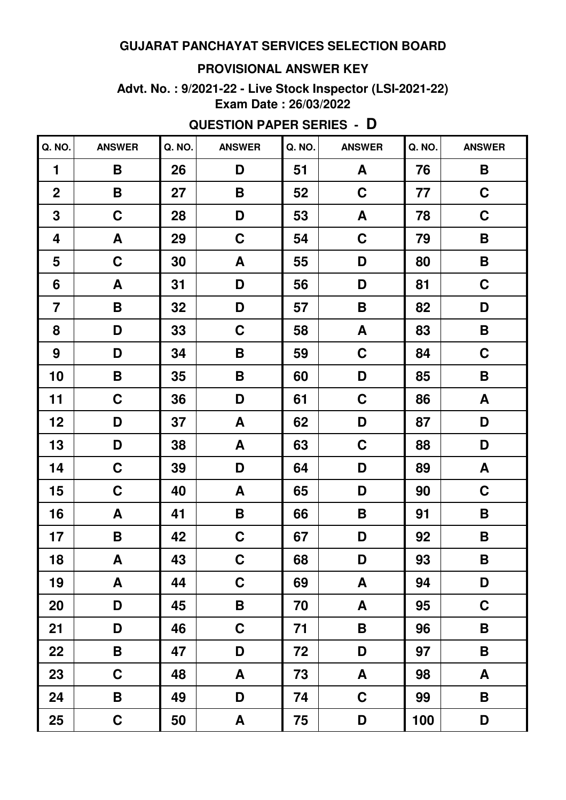#### **PROVISIONAL ANSWER KEY**

#### **Advt. No. : 9/2021-22 - Live Stock Inspector (LSI-2021-22) Exam Date : 26/03/2022**

| Q. NO.         | <b>ANSWER</b>      | Q. NO. | <b>ANSWER</b> | Q. NO. | <b>ANSWER</b>      | Q. NO. | <b>ANSWER</b>    |
|----------------|--------------------|--------|---------------|--------|--------------------|--------|------------------|
| $\blacksquare$ | B                  | 26     | D             | 51     | A                  | 76     | B                |
| $\mathbf 2$    | $\pmb{\mathsf{B}}$ | 27     | B             | 52     | $\mathbf C$        | 77     | $\mathbf C$      |
| 3              | $\mathbf C$        | 28     | D             | 53     | A                  | 78     | $\mathbf C$      |
| 4              | A                  | 29     | $\mathbf C$   | 54     | $\mathbf C$        | 79     | B                |
| 5              | $\mathbf C$        | 30     | A             | 55     | D                  | 80     | B                |
| 6              | A                  | 31     | D             | 56     | D                  | 81     | $\mathbf C$      |
| $\overline{7}$ | B                  | 32     | D             | 57     | $\pmb{\mathsf{B}}$ | 82     | D                |
| 8              | D                  | 33     | $\mathbf C$   | 58     | A                  | 83     | B                |
| 9              | D                  | 34     | B             | 59     | $\mathbf C$        | 84     | C                |
| 10             | B                  | 35     | B             | 60     | D                  | 85     | B                |
| 11             | $\mathbf C$        | 36     | D             | 61     | $\mathbf C$        | 86     | $\boldsymbol{A}$ |
| 12             | D                  | 37     | A             | 62     | D                  | 87     | D                |
| 13             | D                  | 38     | A             | 63     | $\mathbf C$        | 88     | D                |
| 14             | $\mathbf C$        | 39     | D             | 64     | D                  | 89     | $\boldsymbol{A}$ |
| 15             | $\mathbf C$        | 40     | A             | 65     | D                  | 90     | $\mathbf C$      |
| 16             | A                  | 41     | B             | 66     | B                  | 91     | B                |
| 17             | $\pmb{\mathsf{B}}$ | 42     | $\mathbf C$   | 67     | D                  | 92     | B                |
| 18             | $\boldsymbol{A}$   | 43     | $\mathbf C$   | 68     | D                  | 93     | B                |
| 19             | A                  | 44     | $\mathbf C$   | 69     | A                  | 94     | D                |
| 20             | D                  | 45     | B             | 70     | A                  | 95     | $\mathbf C$      |
| 21             | D                  | 46     | $\mathbf C$   | 71     | B                  | 96     | B                |
| 22             | B                  | 47     | D             | 72     | D                  | 97     | B                |
| 23             | $\mathbf C$        | 48     | A             | 73     | A                  | 98     | A                |
| 24             | B                  | 49     | D             | 74     | $\mathbf C$        | 99     | B                |
| 25             | $\mathbf C$        | 50     | A             | 75     | D                  | 100    | D                |

# **QUESTION PAPER SERIES - D**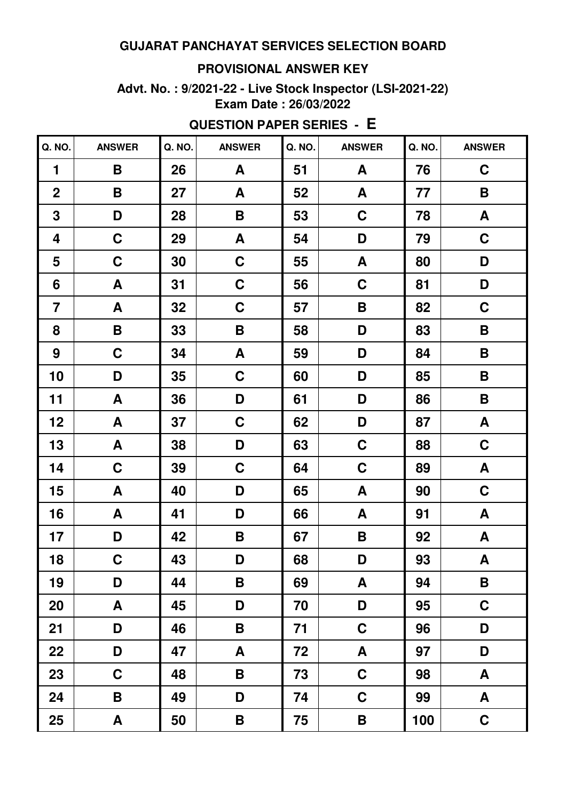#### **PROVISIONAL ANSWER KEY**

#### **Advt. No. : 9/2021-22 - Live Stock Inspector (LSI-2021-22) Exam Date : 26/03/2022**

| Q. NO.                  | <b>ANSWER</b> | Q. NO. | <b>ANSWER</b>      | Q. NO. | <b>ANSWER</b> | Q. NO. | <b>ANSWER</b>      |
|-------------------------|---------------|--------|--------------------|--------|---------------|--------|--------------------|
| 1                       | B             | 26     | A                  | 51     | A             | 76     | $\mathbf C$        |
| $\mathbf 2$             | B             | 27     | A                  | 52     | A             | 77     | $\pmb{\mathsf{B}}$ |
| $\mathbf 3$             | D             | 28     | $\pmb{\mathsf{B}}$ | 53     | $\mathbf C$   | 78     | A                  |
| 4                       | $\mathbf C$   | 29     | A                  | 54     | D             | 79     | $\mathbf C$        |
| 5                       | $\mathbf C$   | 30     | $\mathbf C$        | 55     | A             | 80     | D                  |
| 6                       | A             | 31     | $\mathbf C$        | 56     | $\mathbf C$   | 81     | D                  |
| $\overline{\mathbf{7}}$ | A             | 32     | $\mathbf C$        | 57     | B             | 82     | $\mathbf C$        |
| 8                       | B             | 33     | $\pmb{\mathsf{B}}$ | 58     | D             | 83     | B                  |
| 9                       | $\mathbf C$   | 34     | A                  | 59     | D             | 84     | B                  |
| 10                      | D             | 35     | $\mathbf C$        | 60     | D             | 85     | B                  |
| 11                      | A             | 36     | D                  | 61     | D             | 86     | B                  |
| 12                      | A             | 37     | $\mathbf C$        | 62     | D             | 87     | A                  |
| 13                      | A             | 38     | D                  | 63     | $\mathbf C$   | 88     | $\mathbf C$        |
| 14                      | $\mathbf C$   | 39     | $\mathbf C$        | 64     | $\mathbf C$   | 89     | A                  |
| 15                      | A             | 40     | D                  | 65     | A             | 90     | $\mathbf C$        |
| 16                      | A             | 41     | D                  | 66     | A             | 91     | $\boldsymbol{A}$   |
| 17                      | D             | 42     | B                  | 67     | B             | 92     | A                  |
| 18                      | $\mathbf C$   | 43     | D                  | 68     | D             | 93     | $\pmb{\mathsf{A}}$ |
| 19                      | D             | 44     | B                  | 69     | A             | 94     | $\mathbf B$        |
| 20                      | A             | 45     | D                  | 70     | D             | 95     | $\mathbf C$        |
| 21                      | D             | 46     | B                  | 71     | $\mathbf C$   | 96     | D                  |
| 22                      | D             | 47     | A                  | 72     | A             | 97     | D                  |
| 23                      | $\mathbf C$   | 48     | $\mathsf B$        | 73     | $\mathbf C$   | 98     | A                  |
| 24                      | B             | 49     | D                  | 74     | $\mathbf C$   | 99     | A                  |
| 25                      | A             | 50     | B                  | 75     | B             | 100    | $\mathbf C$        |

# **QUESTION PAPER SERIES - E**